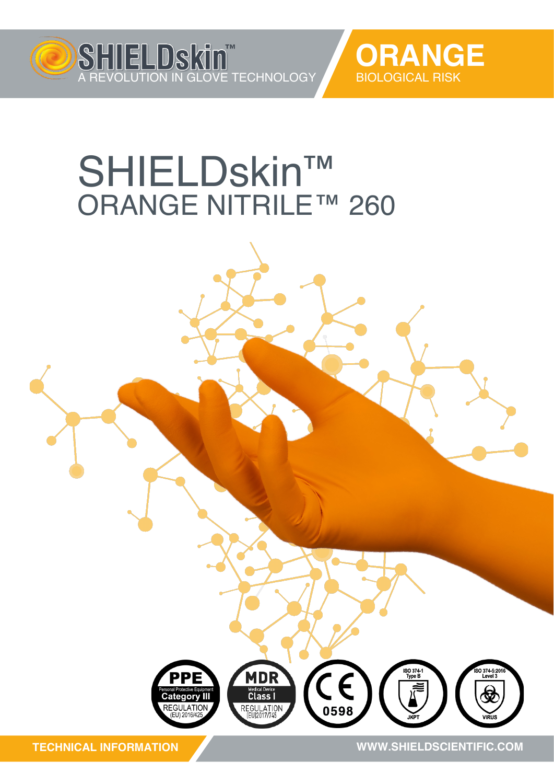



## SHIELDskin™ ORANGE NITRILE™ 260



**TECHNICAL INFORMATION**

**WWW.SHIELDSCIENTIFIC.COM WWW.SHIELDSCIENTIFIC.COM**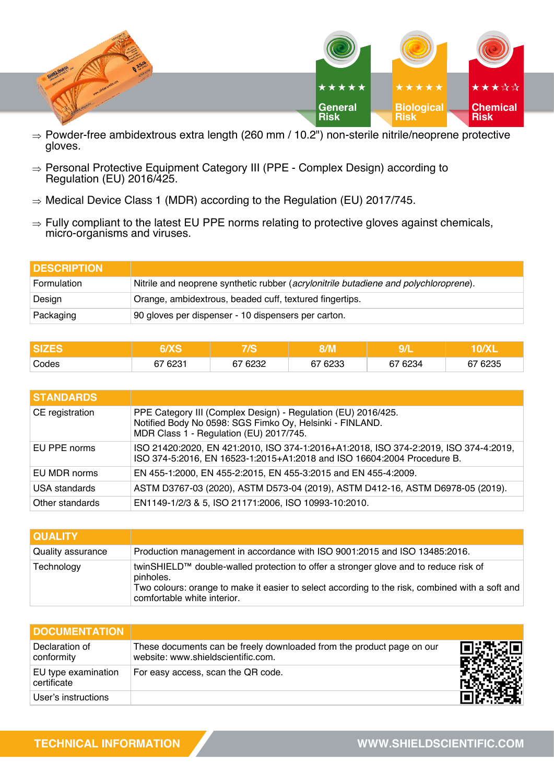

- $\Rightarrow$  Powder-free ambidextrous extra length (260 mm / 10.2") non-sterile nitrile/neoprene protective gloves.
- $\Rightarrow$  Personal Protective Equipment Category III (PPE Complex Design) according to Regulation (EU) 2016/425.
- $\Rightarrow$  Medical Device Class 1 (MDR) according to the Regulation (EU) 2017/745.
- $\Rightarrow$  Fully compliant to the latest EU PPE norms relating to protective gloves against chemicals, micro-organisms and viruses.

| <b>DESCRIPTION</b> |                                                                                      |
|--------------------|--------------------------------------------------------------------------------------|
| Formulation        | Nitrile and neoprene synthetic rubber (acrylonitrile butadiene and polychloroprene). |
| Design             | Orange, ambidextrous, beaded cuff, textured fingertips.                              |
| Packaging          | 90 gloves per dispenser - 10 dispensers per carton.                                  |

|       |         |                      | 11 L I     |         |         |
|-------|---------|----------------------|------------|---------|---------|
| Codes | 67 6231 | 6232<br>$\sim$<br>07 | 6233<br>~– | 67 6234 | 67 6235 |

| <b>STANDARDS</b> |                                                                                                                                                                      |
|------------------|----------------------------------------------------------------------------------------------------------------------------------------------------------------------|
| CE registration  | PPE Category III (Complex Design) - Regulation (EU) 2016/425.<br>Notified Body No 0598: SGS Fimko Oy, Helsinki - FINLAND.<br>MDR Class 1 - Regulation (EU) 2017/745. |
| EU PPE norms     | ISO 21420:2020, EN 421:2010, ISO 374-1:2016+A1:2018, ISO 374-2:2019, ISO 374-4:2019,<br>ISO 374-5:2016, EN 16523-1:2015+A1:2018 and ISO 16604:2004 Procedure B.      |
| EU MDR norms     | EN 455-1:2000, EN 455-2:2015, EN 455-3:2015 and EN 455-4:2009.                                                                                                       |
| USA standards    | ASTM D3767-03 (2020), ASTM D573-04 (2019), ASTM D412-16, ASTM D6978-05 (2019).                                                                                       |
| Other standards  | EN1149-1/2/3 & 5, ISO 21171:2006, ISO 10993-10:2010.                                                                                                                 |

| <b>I QUALITY</b>  |                                                                                                                                                                                                                                     |
|-------------------|-------------------------------------------------------------------------------------------------------------------------------------------------------------------------------------------------------------------------------------|
| Quality assurance | Production management in accordance with ISO 9001:2015 and ISO 13485:2016.                                                                                                                                                          |
| Technology        | twinSHIELD™ double-walled protection to offer a stronger glove and to reduce risk of<br>pinholes.<br>Two colours: orange to make it easier to select according to the risk, combined with a soft and<br>comfortable white interior. |

| <b>DOCUMENTATION</b>               |                                                                                                             |  |
|------------------------------------|-------------------------------------------------------------------------------------------------------------|--|
| Declaration of<br>conformity       | These documents can be freely downloaded from the product page on our<br>website: www.shieldscientific.com. |  |
| EU type examination<br>certificate | For easy access, scan the QR code.                                                                          |  |
| User's instructions                |                                                                                                             |  |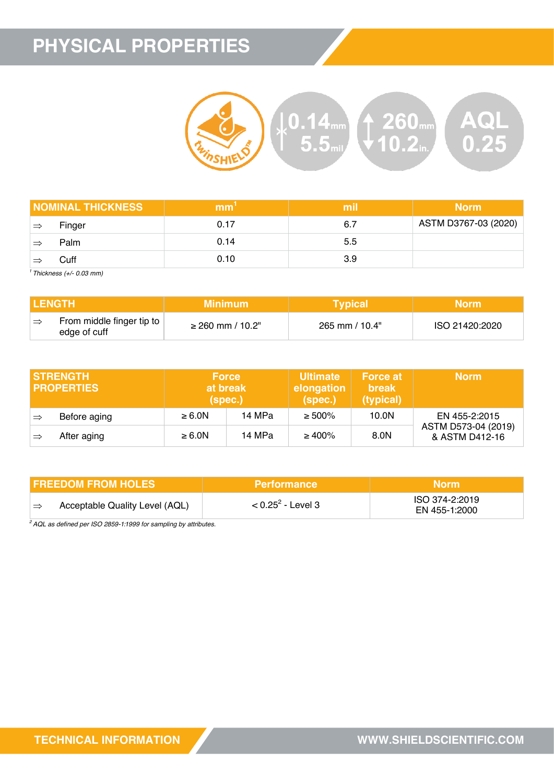## **PHYSICAL PROPERTIES**



|    | <b>NOMINAL THICKNESS</b> | mm   | mil  | <b>Norm</b>          |
|----|--------------------------|------|------|----------------------|
| ∣⇒ | Finger                   | 0.17 | -6.7 | ASTM D3767-03 (2020) |
| =  | Palm                     | 0.14 | 5.5  |                      |
|    | Cuff                     | 0.10 | 3.9  |                      |

*<sup>1</sup>Thickness (+/- 0.03 mm)*

| <b>I LENGTH</b> |                                           | Minimum '<br><b>Typical</b> |                | Morm'          |  |
|-----------------|-------------------------------------------|-----------------------------|----------------|----------------|--|
|                 | From middle finger tip to<br>edge of cuff | $\geq$ 260 mm / 10.2"       | 265 mm / 10.4" | ISO 21420:2020 |  |

|               | <b>ISTRENGTH</b><br><b>I PROPERTIES</b> | <b>Force</b><br>(spec.) | at break | <b>Ultimate</b><br>elongation<br>(spec.) | <b>Force at</b><br><b>break</b><br>(typical) | <b>Norm</b>                           |
|---------------|-----------------------------------------|-------------------------|----------|------------------------------------------|----------------------------------------------|---------------------------------------|
| $\Rightarrow$ | Before aging                            | $\geq 6.0N$             | 14 MPa   | $\geq 500\%$                             | 10.0N                                        | EN 455-2:2015                         |
| ∣⇒            | After aging                             | $\geq 6.0N$             | 14 MPa   | $\geq 400\%$                             | 8.0N                                         | ASTM D573-04 (2019)<br>& ASTM D412-16 |

| <b>I FREEDOM FROM HOLES</b>    | <b>Performance</b>   | Morm\                           |
|--------------------------------|----------------------|---------------------------------|
| Acceptable Quality Level (AQL) | $< 0.25^2$ - Level 3 | ISO 374-2:2019<br>EN 455-1:2000 |

*<sup>2</sup>AQL as defined per ISO 2859-1:1999 for sampling by attributes.*